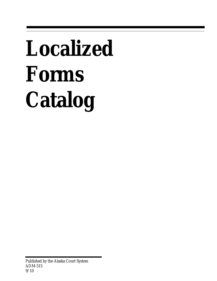# **Localized Forms Catalog**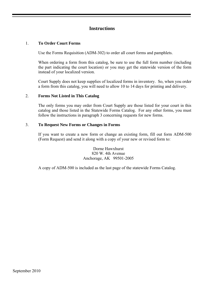## **Instructions**

#### 1. **To Order Court Forms**

Use the Forms Requisition (ADM-302) to order all court forms and pamphlets.

 When ordering a form from this catalog, be sure to use the full form number (including the part indicating the court location) or you may get the statewide version of the form instead of your localized version.

 Court Supply does not keep supplies of localized forms in inventory. So, when you order a form from this catalog, you will need to allow 10 to 14 days for printing and delivery.

#### 2. **Forms Not Listed in This Catalog**

 The only forms you may order from Court Supply are those listed for your court in this catalog and those listed in the Statewide Forms Catalog. For any other forms, you must follow the instructions in paragraph 3 concerning requests for new forms.

#### 3. **To Request New Forms or Changes in Forms**

 If you want to create a new form or change an existing form, fill out form ADM-500 (Form Request) and send it along with a copy of your new or revised form to:

> Dorne Hawxhurst 820 W. 4th Avenue Anchorage, AK 99501-2005

A copy of ADM-500 is included as the last page of the statewide Forms Catalog.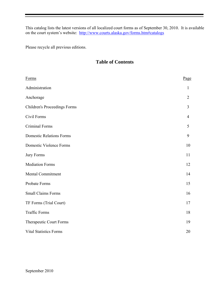This catalog lists the latest versions of all localized court forms as of September 30, 2010. It is available on the court system's website: <http://www.courts.alaska.gov/forms.htm#catalogs>

Please recycle all previous editions.

# **Table of Contents**

| Forms                               | Page           |
|-------------------------------------|----------------|
| Administration                      | $\mathbf{1}$   |
| Anchorage                           | $\overline{2}$ |
| <b>Children's Proceedings Forms</b> | $\overline{3}$ |
| Civil Forms                         | $\overline{4}$ |
| <b>Criminal Forms</b>               | 5              |
| <b>Domestic Relations Forms</b>     | 9              |
| <b>Domestic Violence Forms</b>      | 10             |
| <b>Jury Forms</b>                   | 11             |
| <b>Mediation Forms</b>              | 12             |
| Mental Commitment                   | 14             |
| Probate Forms                       | 15             |
| <b>Small Claims Forms</b>           | 16             |
| TF Forms (Trial Court)              | 17             |
| <b>Traffic Forms</b>                | 18             |
| Therapeutic Court Forms             | 19             |
| <b>Vital Statistics Forms</b>       | 20             |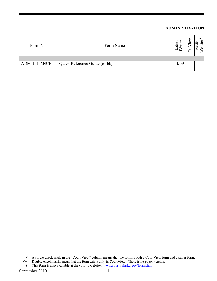## **ADMINISTRATION**

| Form No.     | Form Name                     | atest<br>diti<br>⊢<br>ſт <sup>,</sup> | Ό<br>بر |  |
|--------------|-------------------------------|---------------------------------------|---------|--|
|              |                               |                                       |         |  |
| ADM-101 ANCH | Quick Reference Guide (cs-bb) | 11/09                                 |         |  |
|              |                               |                                       |         |  |

 $\checkmark$  A single check mark in the "Court View" column means that the form is both a CourtView form and a paper form.

 $\checkmark\checkmark$  Double check marks mean that the form exists only in CourtView. There is no paper version. ♦ This form is also available at the court's website: www.courts.alaska.gov/forms.htm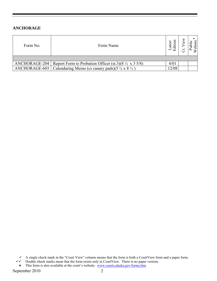#### **ANCHORAGE**

| Form No.      | Form Name                                                             | $\ddot{a}$ |  |
|---------------|-----------------------------------------------------------------------|------------|--|
|               |                                                                       |            |  |
| ANCHORAGE-204 | Report Form to Probation Officer (st.3)(8 $\frac{1}{2} \times 35/8$ ) | 4/01       |  |
| ANCHORAGE-603 | Calendaring Memo (cs canary pads)(5 $\frac{1}{2}$ x 8 $\frac{1}{2}$ ) | 2/08       |  |

 $\checkmark$  A single check mark in the "Court View" column means that the form is both a CourtView form and a paper form.

- $\checkmark\checkmark$  Double check marks mean that the form exists only in CourtView. There is no paper version.
- ♦ This form is also available at the court's website: www.courts.alaska.gov/forms.htm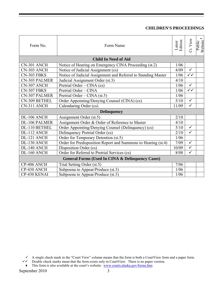# **CHILDREN'S PROCEEDINGS**

| Form No.                                                    | Form Name                                                     | Latest<br>Edition | Ct. View     | ٠<br>Public<br>Website |
|-------------------------------------------------------------|---------------------------------------------------------------|-------------------|--------------|------------------------|
|                                                             | <b>Child In Need of Aid</b>                                   |                   |              |                        |
| CN-301 ANCH                                                 | Notice of Hearing on Emergency CINA Proceeding (st.2)         | 1/06              |              |                        |
| CN-303 ANCH                                                 | Notice of Judicial Assignment (cs)                            | 4/09              | $\checkmark$ |                        |
| CN-303 FBKS                                                 | Notice of Judicial Assignment and Referral to Standing Master | 1/06              | $\checkmark$ |                        |
| <b>CN-303 PALMER</b>                                        | Judicial Assignment Order (st.3)                              | 4/10              |              |                        |
| CN-307 ANCH                                                 | Pretrial Order – CINA (cs)                                    | 1/06              | $\checkmark$ |                        |
| CN-307 FBKS                                                 | Pretrial Order - CINA                                         | 1/06              | $\checkmark$ |                        |
| <b>CN-307 PALMER</b>                                        | Pretrial Order – CINA (st.5)                                  | 1/06              |              |                        |
| CN-309 BETHEL                                               | Order Appointing/Denying Counsel (CINA) (cs)                  | 5/10              | $\checkmark$ |                        |
| CN-311 ANCH                                                 | Calendaring Order (cs)                                        | 11/09             | $\checkmark$ |                        |
|                                                             | <b>Delinquency</b>                                            |                   |              |                        |
| DL-106 ANCH                                                 | Assignment Order (st.5)                                       | 2/10              |              |                        |
| <b>DL-106 PALMER</b>                                        | Assignment Order & Order of Reference to Master               | 4/10              |              |                        |
| DL-110 BETHEL                                               | Order Appointing/Denying Counsel (Delinquency) (cs)           | 5/10              | $\checkmark$ |                        |
| DL-112 ANCH                                                 | Delinquency Pretrial Order (cs)                               | 2/10              | $\checkmark$ |                        |
| DL-121 ANCH                                                 | Order for Temporary Detention (st.5)                          | 1/06              |              |                        |
| DL-130 ANCH                                                 | Order for Predisposition Report and Summons to Hearing (st.4) | 7/09              | $\checkmark$ |                        |
| DL-140 ANCH                                                 | Disposition Order (cs)                                        | 10/09             | $\checkmark$ |                        |
| DL-160 ANCH                                                 | Order for Referral to Pretrial Services (cs)                  | 8/08              | $\checkmark$ |                        |
| <b>General Forms (Used In CINA &amp; Delinquency Cases)</b> |                                                               |                   |              |                        |
| CP-406 ANCH                                                 | Trial Setting Order (st.5)                                    | 7/06              |              |                        |
| CP-430 ANCH                                                 | Subpoena to Appear/Produce (st.3)                             | 1/06              |              |                        |
| CP-430 KENAI                                                | Subpoena to Appear/Produce (st.3)                             | 1/06              |              |                        |

 $\checkmark$  A single check mark in the "Court View" column means that the form is both a CourtView form and a paper form.

 $\checkmark\checkmark$  Double check marks mean that the form exists only in CourtView. There is no paper version.

<sup>♦</sup> This form is also available at the court's website: www.courts.alaska.gov/forms.htm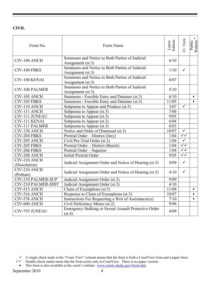# **CIVIL**

| Form No.                      | Form Name                                                           | Latest<br>Edition | Ct. View                | ٠<br>Public<br>Website |
|-------------------------------|---------------------------------------------------------------------|-------------------|-------------------------|------------------------|
| CIV-100 ANCH                  | Summons and Notice to Both Parties of Judicial<br>Assignment (st.3) | 6/10              |                         |                        |
| CIV-100 FBKS                  | Summons and Notice to Both Parties of Judicial<br>Assignment (st.3) | 1/10              | $\checkmark$            |                        |
| CIV-100 KENAI                 | Summons and Notice to Both Parties of Judicial<br>Assignment (st.3) | 8/07              |                         |                        |
| <b>CIV-100 PALMER</b>         | Summons and Notice to Both Parties of Judicial<br>Assignment (st.3) | 5/10              |                         |                        |
| CIV-105 ANCH                  | Summons - Forcible Entry and Detainer (st.3)                        | 6/10              |                         | $\blacklozenge$        |
| CIV-105 FBKS                  | Summons - Forcible Entry and Detainer (st.3)                        | 11/05             |                         | $\bullet$              |
| CIV-110 ANCH                  | Subpoena to Appear and Produce (st.3)                               | 3/07              | $\checkmark$            |                        |
| CIV-111 ANCH                  | Subpoena to Appear (st.3)                                           | 7/06              |                         |                        |
| CIV-111 JUNEAU                | Subpoena to Appear (st.3)                                           | 9/05              |                         |                        |
| CIV-111 KENAI                 | Subpoena to Appear (st.3)                                           | 6/04              |                         |                        |
| <b>CIV-111 PALMER</b>         | Subpoena to Appear (st.3)                                           | 8/03              |                         |                        |
| CIV-120 ANCH                  | Notice and Order of Dismissal (st.3)                                | 10/07             | $\overline{\checkmark}$ |                        |
| CIV-204 FBKS                  | Pretrial Order – District (Jury)                                    | 1/04              | $\overline{\checkmark}$ |                        |
| CIV-205 ANCH                  | Civil Pre-Trial Order (st.3)                                        | 1/06              | $\sqrt{}$               |                        |
| CIV-205 FBKS                  | Pretrial Order - District (Bench)                                   | 1/04              | $\checkmark$            |                        |
| CIV-206 FBKS                  | Pretrial Order - Superior                                           | 1/04              | $\sqrt{\sqrt{2}}$       |                        |
| CIV-208 ANCH                  | <b>Initial Pretrial Order</b>                                       | 9/05              | $\overline{\checkmark}$ |                        |
| CIV-210 ANCH<br>(Dissolution) | Judicial Assignment Order and Notice of Hearing (st.3)              | 4/09              | $\checkmark$            |                        |
| CIV-210 ANCH<br>(Probate)     | Judicial Assignment Order and Notice of Hearing (st.3)              | 4/10              | $\checkmark$            |                        |
| CIV-210 PALMER-SUP            | Judicial Assignment Order (st.3)                                    | 9/09              |                         |                        |
| CIV-210 PALMER-DIST           | Judicial Assignment Order (st.3)                                    | 4/10              |                         |                        |
| CIV-515 ANCH                  | Claim of Exemptions (st.5)                                          | 11/08             |                         | $\blacklozenge$        |
| CIV-516 ANCH                  | Response to Claim of Exemptions (st.3)                              | 10/07             |                         | $\bullet$              |
| CIV-576 ANCH                  | Instructions For Requesting a Writ of Assistance(cs)                | 7/10              |                         | $\bullet$              |
| $\overline{C}$ IV-600 ANCH    | Civil Deficiency Memo (st.2)                                        | 9/96              |                         |                        |
| <b>CIV-755 JUNEAU</b>         | Emergency Stalking or Sexual Assault Protective Order<br>(st.4)     | 4/09              |                         |                        |

 $\checkmark$  A single check mark in the "Court View" column means that the form is both a CourtView form and a paper form.

 $\checkmark\checkmark$  Double check marks mean that the form exists only in CourtView. There is no paper version.

<sup>•</sup> This form is also available at the court's website: www.courts.alaska.gov/forms.htm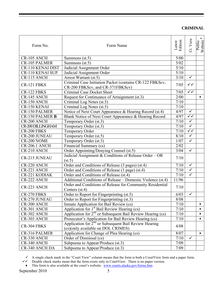| Form No.                 | Form Name                                                                                               | Latest<br>Edition | Ct. View                | $\blacklozenge$<br>Public<br>Website |
|--------------------------|---------------------------------------------------------------------------------------------------------|-------------------|-------------------------|--------------------------------------|
| CR-105 ANCH              | Summons $(st.5)$                                                                                        | 5/00              |                         |                                      |
| <b>CR-105 PALMER</b>     | Summons (st.5)                                                                                          | 5/02              |                         |                                      |
| <b>CR-110 KENAI DIST</b> | Judicial Assignment Order                                                                               | 5/10              |                         |                                      |
| <b>CR-110 KENAI SUP</b>  | Judicial Assignment Order                                                                               | $5/10$            |                         |                                      |
| CR-115 ANCH              | Arrest Warrant (st.5)                                                                                   | 3/10              | $\checkmark$            |                                      |
| CR-121 FBKS              | Criminal Case Initiation Packet (contains CR-122 FBKScv,<br>CR-200 FBKScv, and CR-371FBKScv)            | 7/05              | $\checkmark$            |                                      |
| CR-122 FBKS              | <b>Criminal Case Docket Sheet</b>                                                                       | 7/05              | $\checkmark$            |                                      |
| CR-145 ANCH              | Request for Continuance of Arraignment (st.3)                                                           | 2/00              |                         | ٠                                    |
| CR-150 ANCH              | Criminal Log Notes (st.5)                                                                               | 7/10              |                         |                                      |
| CR-150 KENAI             | Criminal Log Notes (st.5)                                                                               | $7/10$            |                         |                                      |
| <b>CR-150 PALMER</b>     | Notice of Next Court Appearance & Hearing Record (st.4)                                                 | 4/97              | $\checkmark$            |                                      |
| <b>CR-150 PALMER B</b>   | Blank Notice of Next Court Appearance & Hearing Record                                                  | 4/97              | $\checkmark$            |                                      |
| CR-200 ANCH              | Temporary Order (st.3)                                                                                  | 7/10              | $\checkmark$            |                                      |
| <b>CR-200 DILLINGHAM</b> | Temporary Order (st.3)                                                                                  | 7/10              | $\checkmark$            |                                      |
| CR-200 FBKS              | Temporary Order                                                                                         | 7/10              | $\checkmark$            |                                      |
| <b>CR-200 JUNEAU</b>     | Temporary Order (st.5)                                                                                  | 8/10              | $\checkmark$            |                                      |
| CR-200 NOME              | Temporary Order (st.3)                                                                                  | 1/07              | $\overline{\checkmark}$ |                                      |
| <b>CR-206.1 ANCH</b>     | Financial Summary (cs)                                                                                  | 2/02              |                         |                                      |
| CR-210 ANCH              | Order Appointing/Denying Counsel (st.5)                                                                 | 3/04              | $\checkmark$            |                                      |
| <b>CR-215 JUNEAU</b>     | Judicial Assignment & Conditions of Release Order - OR<br>(st.5)                                        | 7/10              |                         |                                      |
| CR-220 ANCH              | Order and Conditions of Release (3 pages) (st.4)                                                        | 7/10              | $\checkmark$            |                                      |
| CR-221 ANCH              | Order and Conditions of Release (1 page) (st.4)                                                         | 7/10              | $\overline{\checkmark}$ |                                      |
| <b>CR-221 KODIAK</b>     | Order and Conditions of Release (st.4)                                                                  | 7/10              | $\overline{\checkmark}$ |                                      |
| CR-222 ANCH              | Additional Conditions of Release – Domestic Violence (st.4)                                             | 11/96             |                         |                                      |
| CR-223 ANCH              | Order and Conditions of Release for Community Residential<br>Centers (st.4)                             | 7/10              |                         |                                      |
| CR-270 FBKS              | Order to Report for Fingerprinting (st.5)                                                               | 6/03              | $\checkmark$            |                                      |
| <b>CR-270 JUNEAU</b>     | Order to Report for Fingerprinting (st.3)                                                               | 8/08              |                         |                                      |
| CR-300 ANCH              | Inmate Application for Bail Review (cs)                                                                 | 7/10              |                         | ٠                                    |
| CR-301 ANCH              | Application for $1st$ Bail Review Hearing (cs)                                                          | 7/10              |                         | ۰                                    |
| CR-302 ANCH              | Application for $2nd$ or Subsequent Bail Review Hearing (cs)                                            | 7/10              |                         | ٠                                    |
| CR-303 ANCH              | Prosecutor's Application for Bail Review Hearing (cs)                                                   | 7/10              |                         | ٠                                    |
| CR-304 FBKS              | Application for 2 <sup>nd</sup> or Subsequent Bail Review Hearing<br>(cs)(only available on DOL CRIMES) | 4/08              |                         |                                      |
| CR-316 PALMER            | Application for Change of Plea Hearing (cs)                                                             | 8/07              |                         |                                      |
| CR-330 ANCH              | Order of Dismissal (cs)                                                                                 | 7/10              | $\checkmark$            |                                      |
| CR-340 ANCH              | Subpoena to Appear/Produce (st.3)                                                                       | 7/09              |                         |                                      |
| <b>CR-340 ANCH DA</b>    | Subpoena to Appear/Produce (st.3)                                                                       | 7/09              |                         |                                      |

 $\checkmark$  A single check mark in the "Court View" column means that the form is both a CourtView form and a paper form.

 $\checkmark\checkmark$  Double check marks mean that the form exists only in CourtView. There is no paper version.

♦ This form is also available at the court's website: www.courts.alaska.gov/forms.htm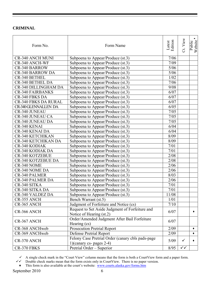| Form No.                    | Form Name                                                                      | Edition<br>Latest | Ct. View     | ٠<br>Public<br>Website |
|-----------------------------|--------------------------------------------------------------------------------|-------------------|--------------|------------------------|
| <b>CR-340 ANCH MUNI</b>     | Subpoena to Appear/Produce (st.3)                                              | 7/06              |              |                        |
| <b>CR-340 ANCH-WF</b>       | Subpoena to Appear/Produce (st.3)                                              | 7/09              |              |                        |
| <b>CR-340 BARROW</b>        | Subpoena to Appear/Produce (st.3)                                              | 5/06              |              |                        |
| <b>CR-340 BARROW DA</b>     | Subpoena to Appear/Produce (st.3)                                              | $5/06$            |              |                        |
| CR-340 BETHEL               | Subpoena to Appear/Produce (st.3)                                              | 1/02              |              |                        |
| <b>CR-340 BETHEL DA</b>     | Subpoena to Appear/Produce (st.3)                                              | 7/06              |              |                        |
| <b>CR-340 DILLINGHAM DA</b> | Subpoena to Appear/Produce (st.3)                                              | 9/08              |              |                        |
| <b>CR-340 FAIRBANKS</b>     | Subpoena to Appear/Produce (st.3)                                              | 6/07              |              |                        |
| <b>CR-340 FBKS DA</b>       | Subpoena to Appear/Produce (st.3)                                              | 6/07              |              |                        |
| <b>CR-340 FBKS DA RURAL</b> | Subpoena to Appear/Produce (st.3)                                              | 6/07              |              |                        |
| <b>CR-340 GLENNALLEN DA</b> | Subpoena to Appear/Produce (st.3)                                              | 6/05              |              |                        |
| <b>CR-340 JUNEAU</b>        | Subpoena to Appear/Produce (st.3)                                              | 7/05              |              |                        |
| <b>CR-340 JUNEAU CA</b>     | Subpoena to Appear/Produce (st.3)                                              | 7/05              |              |                        |
| <b>CR-340 JUNEAU DA</b>     | Subpoena to Appear/Produce (st.3)                                              | 7/05              |              |                        |
| CR-340 KENAI                | Subpoena to Appear/Produce (st.3)                                              | 6/04              |              |                        |
| <b>CR-340 KENAI DA</b>      | Subpoena to Appear/Produce (st.3)                                              | 6/04              |              |                        |
| <b>CR-340 KETCHIKAN</b>     | Subpoena to Appear/Produce (st.3)                                              | 8/09              |              |                        |
| CR-340 KETCHIKAN DA         | Subpoena to Appear/Produce (st.3)                                              | 8/09              |              |                        |
| CR-340 KODIAK               | Subpoena to Appear/Produce (st.3)                                              | 7/01              |              |                        |
| <b>CR-340 KODIAK DA</b>     | Subpoena to Appear/Produce (st.3)                                              | 7/01              |              |                        |
| <b>CR-340 KOTZEBUE</b>      | Subpoena to Appear/Produce (st.3)                                              | 2/08              |              |                        |
| <b>CR-340 KOTZEBUE DA</b>   | Subpoena to Appear/Produce (st.3)                                              | 2/08              |              |                        |
| CR-340 NOME                 | Subpoena to Appear/Produce (st.3)                                              | 2/06              |              |                        |
| CR-340 NOME DA              | Subpoena to Appear/Produce (st.3)                                              | 2/06              |              |                        |
| <b>CR-340 PALMER</b>        | Subpoena to Appear/Produce (st.3)                                              | 8/03              |              |                        |
| <b>CR-340 PALMER DA</b>     | Subpoena to Appear/Produce (st.3)                                              | 2/06              |              |                        |
| CR-340 SITKA                | Subpoena to Appear/Produce (st.3)                                              | 7/01              |              |                        |
| CR-340 SITKA DA             | Subpoena to Appear/Produce (st.3)                                              | 7/01              |              |                        |
| CR-340 VALDEZ DA            | Subpoena to Appear/Produce (st.3)                                              | 11/08             |              |                        |
| CR-355 ANCH                 | Bench Warrant (st.5)                                                           | 1/01              |              |                        |
| CR-365 ANCH                 | Judgment of Forfeiture and Notice (cs)                                         | 7/10              |              |                        |
|                             | Request to Set Aside Judgment of Forfeiture and                                |                   |              |                        |
| CR-366 ANCH                 | Notice of Hearing (st.2)                                                       | 6/07              |              |                        |
|                             | Order/Amended Judgment After Bail Forfeiture                                   |                   |              |                        |
| CR-367 ANCH                 | Hearing (cs)                                                                   | 6/07              |              |                        |
| CR-368 ANCHweb              | Prosecution Pretrial Report                                                    | 2/09              |              |                        |
| CR-369 ANCHweb              | Defense Pretrial Report                                                        | 2/09              |              | ٠                      |
| CR-370 ANCH                 | Felony Case Pretrial Order (canary cbls pads-page)<br>1)(canary cs- pages 2-4) | 5/09              | $\checkmark$ |                        |
| CR-370 FBKS                 | Pretrial Order - Superior                                                      | 8/95              | $\checkmark$ |                        |
|                             |                                                                                |                   |              |                        |

 $\checkmark$  A single check mark in the "Court View" column means that the form is both a CourtView form and a paper form.

 $\checkmark\checkmark$  Double check marks mean that the form exists only in CourtView. There is no paper version.

<sup>♦</sup> This form is also available at the court's website: www.courts.alaska.gov/forms.htm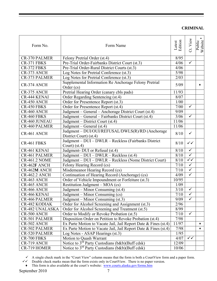| Form No.               | Form Name                                                                  | Latest<br>Edition | Ct. View     | $\bullet$<br>Public<br>Website |
|------------------------|----------------------------------------------------------------------------|-------------------|--------------|--------------------------------|
| <b>CR-370 PALMER</b>   | Felony Pretrial Order (st.4)                                               | 8/95              |              |                                |
| CR-371 FBKS            | Pre-Trial Order-Fairbanks District Court (st.3)                            | 4/06              | $\checkmark$ |                                |
| CR-372 FBKS            | Pre-Trial Order-Rural District Courts (st.3)                               | 4/06              |              |                                |
| CR-373 ANCH            | Log Notes for Pretrial Conference (st.3)                                   | 5/98              |              |                                |
| <b>CR-373 PALMER</b>   | Log Notes for Pretrial Conference (st.3)                                   | 2/03              |              |                                |
| CR-374 ANCH            | Supplemental Information Re Anchorage Felony Pretrial<br>Order (cs)        | 5/09              |              |                                |
| CR-375 ANCH            | Pretrial Hearing Order (canary cbls pads)                                  | 11/93             |              |                                |
| <b>CR-444 KENAI</b>    | Order Regarding Sentencing (st.4)                                          | 8/07              |              |                                |
| CR-450 ANCH            | Order for Presentence Report (st.3)                                        | 1/00              |              |                                |
| CR-450 FBKS            | Order for Presentence Report (st.4)                                        | 7/00              | $\checkmark$ |                                |
| CR-460 ANCH            | Judgment – General – Anchorage District Court (st.4)                       | 9/09              |              |                                |
| CR-460 FBKS            | Judgment - General - Fairbanks District Court (st.4)                       | 3/06              | $\checkmark$ |                                |
| <b>CR-460 JUNEAU</b>   | Judgment – District Court (st.4)                                           | 11/06             |              |                                |
| <b>CR-460 PALMER</b>   | Judgment – General $(st.4)$                                                | 11/06             |              |                                |
| CR-461 ANCH            | Judgment - DUI/OUI/REFUSAL/DWLS(R)/RD (Anchorage<br>District Court) (st.4) | 8/10              | $\checkmark$ |                                |
| CR-461 FBKS            | Judgment - DUI - DWLR - Reckless (Fairbanks District<br>Court) $(st.4)$    | 8/10              | $\checkmark$ |                                |
| CR-461 KENAI           | Judgment- DUI or Refusal (st.4)                                            | 8/10              | $\checkmark$ |                                |
| <b>CR-461 PALMER</b>   | Judgment - DUI - DWLR - Reckless (st.4)                                    | 8/10              | $\checkmark$ |                                |
| <b>CR-461.2 NOME</b>   | Judgment - DUI - DWLR - Reckless (Nome District Court)                     | 8/10              | $\checkmark$ |                                |
| <b>CR-462F ANCH</b>    | Felony Hearing Record (cs)                                                 | 7/10              | $\checkmark$ |                                |
| <b>CR-462M ANCH</b>    | Misdemeanor Hearing Record (cs)                                            | 7/10              | $\checkmark$ |                                |
| <b>CR-462.2 ANCH</b>   | Continuation of Hearing Record (Anchorage) (cs)                            | 4/09              | $\checkmark$ |                                |
| CR-463 ANCH            | Order of Vehicle Impoundment or Forfeiture (st.3)                          | 10/95             |              |                                |
| CR-465 ANCH            | Restitution Judgment – MOA (cs)                                            | 1/09              |              |                                |
| CR-466 ANCH            | Judgment – Minor Consuming (st.4)                                          | 3/10              | $\checkmark$ |                                |
| CR-466 KENAI           | Judgment – Minor Consuming (cs)                                            | 7/10              | ✓            |                                |
| <b>CR-466 PALMER</b>   | Judgment – Minor Consuming (st.3)                                          | 9/09              | $\checkmark$ |                                |
| <b>CR-482 KODIAK</b>   | Order for Alcohol Screening and Assignment (st.3)                          | 2/96              |              |                                |
| <b>CR-482 UNALASKA</b> | Order for Alcohol Screening and Treatment (st.5)                           | 8/99              |              |                                |
| CR-500 ANCH            | Order to Modify or Revoke Probation (st.5)                                 | 7/10              | $\checkmark$ |                                |
| <b>CR-501 PALMER</b>   | Disposition Order on Petition to Revoke Probation (st.4)                   | 7/98              |              |                                |
| CR-502 ANCH            | Ex Parte Motion to Vacate Jail, Jail Report Date & Fines (st.4)            | 11/97             |              | ٠                              |
| <b>CR-502 PALMER</b>   | Ex Parte Motion to Vacate Jail, Jail Report Date & Fines (st.4)            | 7/98              |              |                                |
| <b>CR-520 PALMER</b>   | Log Notes - ASAP Hearings (st.3)                                           | 1/95              |              |                                |
| CR-700 FBKS            | Motion to Quash Warrant                                                    | 4/07              | $\checkmark$ |                                |
| CR-719 ANCH            | Notice to 3 <sup>rd</sup> Party Custodians (b&b)(Buff cdsk)                | 12/09             |              |                                |
| CR-719 HOMER           | Notice to $3^{rd}$ Party Custodians (b&b)(Buff cdsk)                       | 10/06             |              |                                |

 $\checkmark$  A single check mark in the "Court View" column means that the form is both a CourtView form and a paper form.

 $\checkmark\checkmark$  Double check marks mean that the form exists only in CourtView. There is no paper version.

♦ This form is also available at the court's website: www.courts.alaska.gov/forms.htm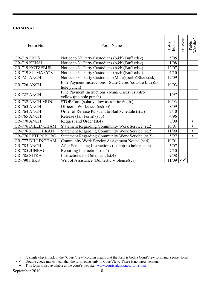| Form No.                 | Form Name                                                                  | Latest<br>Edition    | View<br>ರ | Public<br>Website |
|--------------------------|----------------------------------------------------------------------------|----------------------|-----------|-------------------|
| CR-719 FBKS              | Notice to $3^{rd}$ Party Custodians (b&b)(Buff cdsk)                       | 5/05                 |           |                   |
| CR-719 KENAI             | Notice to $3^{rd}$ Party Custodians (b&b)(Buff cdsk)                       | 1/08                 |           |                   |
| <b>CR-719 KOTZEBUE</b>   | Notice to $3^{rd}$ Party Custodians (b&b)(Buff cdsk)                       | 12/07                |           |                   |
| CR-719 ST. MARY'S        | Notice to 3 <sup>rd</sup> Party Custodians (b&b)(Buff cdsk)                | 6/10                 |           |                   |
| CR-721 ANCH              | Notice to $3^{rd}$ Party Custodians (Muni)( $b&b$ )(Blue cdsk)             | 12/09                |           |                   |
| CR-726 ANCH              | Fine Payment Instructions - State Cases (cs astro blue)(no<br>hole punch)  | 10/03                |           |                   |
| CR-727 ANCH              | Fine Payment Instructions - Muni Cases (cs astro<br>yellow)(no hole punch) | 1/97                 |           |                   |
| <b>CR-732 ANCH MUNI</b>  | STOP Card (solar yellow astrobrite 60 lb.)                                 | 10/93                |           |                   |
| CR-763 ANCH              | Officer's Worksheet (cs)(bb)                                               | 8/09                 |           |                   |
| CR-764 ANCH              | Order of Release Pursuant to Bail Schedule (st.5)                          | 7/10                 |           |                   |
| CR-765 ANCH              | Release (Jail Form) (st.3)                                                 | 4/96                 |           |                   |
| CR-770 ANCH              | Request and Order (st.4)                                                   | 8/09                 |           | ۰                 |
| CR-776 DILLINGHAM        | Statement Regarding Community Work Service (st.2)                          | 10/01                |           | ٠                 |
| <b>CR-776 KETCHIKAN</b>  | Statement Regarding Community Work Service (st.2)                          | 11/99                |           | ٠                 |
| <b>CR-776 PETERSBURG</b> | Statement Regarding Community Work Service (st.2)                          | 5/97                 |           |                   |
| <b>CR-777 DILLINGHAM</b> | Community Work Service Assignment Notice (st.4)                            | 10/01                |           |                   |
| CR-785 ANCH              | After Sentencing Instructions (cs-bb)(no hole punch)                       | 5/07                 |           |                   |
| <b>CR-785 JUNEAU</b>     | Reporting Instructions (st.4)                                              | 7/10                 |           |                   |
| CR-785 SITKA             | Instructions for Defendant (st.4)                                          | 9/08                 |           |                   |
| CR-790 FBKS              | Writ of Assistance (Domestic Violence)(cs)                                 | $11/09$ $\checkmark$ |           |                   |

 $\checkmark$  A single check mark in the "Court View" column means that the form is both a CourtView form and a paper form.

 $\checkmark\checkmark$  Double check marks mean that the form exists only in CourtView. There is no paper version.

<sup>•</sup> This form is also available at the court's website: www.courts.alaska.gov/forms.htm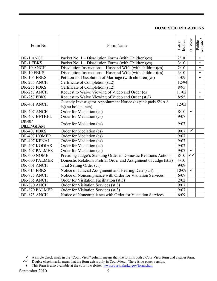# **DOMESTIC RELATIONS**

| Form No.                    | Form Name                                                                                                        | Edition<br>Latest | Ct. View     | $\blacklozenge$<br>Website<br>Public |
|-----------------------------|------------------------------------------------------------------------------------------------------------------|-------------------|--------------|--------------------------------------|
| DR-1 ANCH                   | Packet No. $1 -$ Dissolution Forms (with Children)(cs)                                                           | 2/10              |              | ٠                                    |
| DR-1 FBKS                   | Packet No. $1 -$ Dissolution Forms (with Children)(cs)                                                           | 3/10              |              | $\bullet$                            |
| DR-10 ANCH                  | Dissolution Instructions – Husband Wife (with children)(cs)                                                      | 2/10              |              | ٠                                    |
| DR-10 FBKS                  | Dissolution Instructions – Husband Wife (with children) $(cs)$                                                   | 3/10              |              | $\bullet$                            |
| DR-105 FBKS                 | Petition for Dissolution of Marriage (with children)(cs)                                                         | 4/09              |              | $\bullet$                            |
| DR-255 ANCH                 | Certificate of Completion (st.2)                                                                                 | 12/94             |              |                                      |
| DR-255 FBKS                 | Certificate of Completion (st.2)                                                                                 | 8/95              |              |                                      |
| DR-257 ANCH                 | Request to Waive Viewing of Video and Order (cs)                                                                 | 11/02             |              | ٠                                    |
| DR-257 FBKS                 | Request to Waive Viewing of Video and Order (st.2)                                                               | 8/95              |              | $\bullet$                            |
| DR-401 ANCH                 | Custody Investigator Appointment Notice (cs pink pads $5\frac{1}{2} \times 8$ )<br>$\frac{1}{2}$ (no hole punch) | 12/03             |              |                                      |
| DR-407 ANCH                 | Order for Mediation (cs)                                                                                         | 8/10              | $\checkmark$ |                                      |
| DR-407 BETHEL               | Order for Mediation (cs)                                                                                         | 9/07              |              |                                      |
| DR-407<br><b>DILLINGHAM</b> | Order for Mediation (cs)                                                                                         | 9/07              |              |                                      |
| DR-407 FBKS                 | Order for Mediation (cs)                                                                                         | 9/07              | $\checkmark$ |                                      |
| DR-407 HOMER                | Order for Mediation (cs)                                                                                         | 9/07              |              |                                      |
| DR-407 KENAI                | Order for Mediation (cs)                                                                                         | 9/07              |              |                                      |
| DR-407 KODIAK               | Order for Mediation (cs)                                                                                         | 9/07              |              |                                      |
| DR-407 PALMER               | Order for Mediation (cs)                                                                                         | 9/07              | $\checkmark$ |                                      |
| DR-600 NOME                 | Presiding Judge's Standing Order in Domestic Relations Actions                                                   | 8/10              | $\checkmark$ |                                      |
| DR-600 PALMER               | Domestic Relations Pretrial Order and Assignment of Judge (st.3)                                                 | 4/10              |              |                                      |
| DR-601 ANCH                 | Trial Setting Order (cs)                                                                                         | 9/09              |              |                                      |
| DR-615 FBKS                 | Notice of Judicial Assignment and Hearing Date (st.4)                                                            | 10/09             | $\checkmark$ |                                      |
| DR-775 ANCH                 | Notice of Noncompliance with Order for Visitation Services                                                       | 6/09              |              |                                      |
| DR-865 ANCH                 | Order for Visitation Facilitation (st.3)                                                                         | 2/02              |              |                                      |
| DR-870 ANCH                 | Order for Visitation Services (st.3)                                                                             | 9/07              |              |                                      |
| DR-870 PALMER               | Order for Visitation Services (st.3)                                                                             | 9/07              |              |                                      |
| DR-875 ANCH                 | Notice of Noncompliance with Order for Visitation Services                                                       | 6/09              |              |                                      |

- $\checkmark\checkmark$  Double check marks mean that the form exists only in CourtView. There is no paper version.
	- ♦ This form is also available at the court's website: www.courts.alaska.gov/forms.htm

 $\checkmark$  A single check mark in the "Court View" column means that the form is both a CourtView form and a paper form.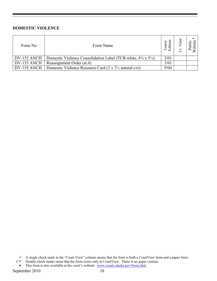# **DOMESTIC VIOLENCE**

| Form No     | Form Name                                                                              | atest | 질 |
|-------------|----------------------------------------------------------------------------------------|-------|---|
| DV-152 ANCH | Domestic Violence Consolidation Label (TCB white, $4\frac{1}{4} \times 5\frac{1}{2}$ ) | 2/01  |   |
| DV-153 ANCH | Reassignment Order (st.4)                                                              | 3/01  |   |
| DV-155 ANCH | Domestic Violence Resource Card (2 x 3 <sup>1</sup> / <sub>2</sub> natural cvr)        | 9/04  |   |

 $\checkmark$  A single check mark in the "Court View" column means that the form is both a CourtView form and a paper form.

 $\checkmark\checkmark$  Double check marks mean that the form exists only in CourtView. There is no paper version.

<sup>♦</sup> This form is also available at the court's website: www.courts.alaska.gov/forms.htm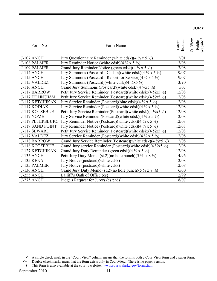**JURY** 

| Form No           | Form Name                                                                          | Latest<br>Edition | Ct. View | ۰<br>Website<br>Public |
|-------------------|------------------------------------------------------------------------------------|-------------------|----------|------------------------|
| <b>J-107 ANCH</b> | Jury Questionnaire Reminder (white cdsk) $(4\frac{1}{4} \times 5\frac{1}{2})$      | 12/01             |          |                        |
| J-108 PALMER      | Jury Reminder Notice (white cdsk)(4 $\frac{1}{4}$ x 5 $\frac{1}{2}$ )              | 3/08              |          |                        |
| J-109 PALMER      | Grand Jury Reminder Notice (green cdsk) $(4\frac{1}{4} \times 5\frac{1}{2})$       | 3/08              |          |                        |
| <b>J-114 ANCH</b> | Jury Summons (Postcard - Call-In)(white cdsk)(4 $\frac{1}{4}$ x 5 $\frac{1}{2}$ )  | 9/07              |          |                        |
| <b>J-115 ANCH</b> | Jury Summons (Postcard - Report for Service) $(4\frac{1}{4} \times 5\frac{1}{2})$  | 9/07              |          |                        |
| J-115 VALDEZ      | Jury Summons (Postcard)(white cdsk)(4 $\frac{1}{4}$ x5 $\frac{1}{2}$ )             | 3/90              |          |                        |
| <b>J-116 ANCH</b> | Grand Jury Summons (Postcard)(white cdsk)(4 $\frac{1}{4}$ x5 $\frac{1}{2}$ )       | 1/03              |          |                        |
| J-117 BARROW      | Petit Jury Service Reminder (Postcard)(white cdsk) $(4 \frac{1}{4}x5 \frac{1}{2})$ | 12/08             |          |                        |
| J-117 DILLINGHAM  | Petit Jury Service Reminder (Postcard)(white cdsk)(4 $\frac{1}{4}x5\frac{1}{2}$ )  | 12/08             |          |                        |
| J-117 KETCHIKAN   | Jury Service Reminder (Postcard)(blue cdsk)(4 $\frac{1}{4}$ x 5 $\frac{1}{2}$ )    | 12/08             |          |                        |
| J-117 KODIAK      | Jury Service Reminder (Postcard)(white cdsk)(4 $\frac{1}{4}$ x 5 $\frac{1}{2}$ )   | 12/08             |          |                        |
| J-117 KOTZEBUE    | Petit Jury Service Reminder (Postcard)(white cdsk)(4 $\frac{1}{4}x5 \frac{1}{2}$ ) | 12/08             |          |                        |
| <b>J-117 NOME</b> | Jury Service Reminder (Postcard)(white cdsk)(4 $\frac{1}{4}$ x 5 $\frac{1}{2}$ )   | 12/08             |          |                        |
| J-117 PETERSBURG  | Jury Reminder Notice (Postcard)(white cdsk)(4 $\frac{1}{4}$ x 5 $\frac{1}{2}$ )    | 12/08             |          |                        |
| J-117 SAND POINT  | Jury Reminder Notice (Postcard)(white cdsk)(4 $\frac{1}{4}$ x 5 $\frac{1}{2}$ )    | 12/08             |          |                        |
| J-117 SEWARD      | Petit Jury Service Reminder (Postcard)(white cdsk)(4 $\frac{1}{4}x5\frac{1}{2}$ )  | 12/08             |          |                        |
| J-117 VALDEZ      | Jury Service Reminder (Postcard)(white cdsk)(4 $\frac{1}{4}$ x 5 $\frac{1}{2}$ )   | 12/08             |          |                        |
| J-118 BARROW      | Grand Jury Service Reminder (Postcard)(white cdsk)(4 $\frac{1}{4}x5\frac{1}{2}$ )  | 12/08             |          |                        |
| J-118 KOTZEBUE    | Grand Jury service Reminder (Postcard)(white cdsk)( $4\frac{1}{4}x5\frac{1}{2}$ )  | 12/08             |          |                        |
| J-127 KETCHIKAN   | Grand Jury Duty Reminder (green cdsk)(4 $\frac{1}{4}$ x 5 $\frac{1}{2}$ )          | 12/08             |          |                        |
| <b>J-135 ANCH</b> | Petit Jury Duty Memo (st.2)(no hole punch)(5 $\frac{1}{2} \times 8 \frac{1}{2}$ )  | 4/96              |          |                        |
| J-135 KENAI       | Jury Notice (postcard) (white cdsk)                                                | 12/08             |          |                        |
| J-135 PALMER      | Jury Notice (postcard) (white cdsk)                                                | 12/08             |          |                        |
| <b>J-136 ANCH</b> | Grand Jury Duty Memo (st.2)(no hole punch)(5 $\frac{1}{2}$ x 8 $\frac{1}{2}$ )     | 6/00              |          |                        |
| J-255 ANCH        | Bailiff's Oath of Office (cs)                                                      | 2/99              |          |                        |
| J-275 ANCH        | Judge's Request for Jurors (cs pads)                                               | 8/07              |          |                        |

♦ This form is also available at the court's website: www.courts.alaska.gov/forms.htm

 $\checkmark$  A single check mark in the "Court View" column means that the form is both a CourtView form and a paper form.

 $\checkmark\checkmark$  Double check marks mean that the form exists only in CourtView. There is no paper version.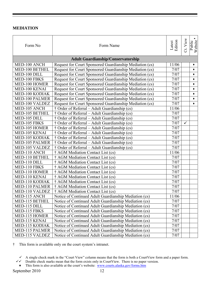#### **MEDIATION**

| Form No               | Form Name                                               | Latest<br>Edition | Ct. View     | Public<br>Website |
|-----------------------|---------------------------------------------------------|-------------------|--------------|-------------------|
|                       | <b>Adult Guardianship/Conservatorship</b>               |                   |              |                   |
| MED-100 ANCH          | Request for Court Sponsored Guardianship Mediation (cs) | 11/06             |              | ٠                 |
| MED-100 BETHEL        | Request for Court Sponsored Guardianship Mediation (cs) | 7/07              |              | ٠                 |
| MED-100 DILL          | Request for Court Sponsored Guardianship Mediation (cs) | 7/07              |              | ٠                 |
| MED-100 FBKS          | Request for Court Sponsored Guardianship Mediation (cs) | 7/07              |              | ٠                 |
| MED-100 HOMER         | Request for Court Sponsored Guardianship Mediation (cs) | 7/07              |              | ٠                 |
| MED-100 KENAI         | Request for Court Sponsored Guardianship Mediation (cs) | 7/07              |              | ٠                 |
| MED-100 KODIAK        | Request for Court Sponsored Guardianship Mediation (cs) | 7/07              |              | ٠                 |
| <b>MED-100 PALMER</b> | Request for Court Sponsored Guardianship Mediation (cs) | 7/07              |              | ٠                 |
| MED-100 VALDEZ        | Request for Court Sponsored Guardianship Mediation (cs) | 7/07              |              | ٠                 |
| MED-105 ANCH          | † Order of Referral – Adult Guardianship (cs)           | 11/06             |              |                   |
| MED-105 BETHEL        | † Order of Referral – Adult Guardianship (cs)           | 7/07              |              |                   |
| MED-105 DILL          | † Order of Referral – Adult Guardianship (cs)           | 7/07              |              |                   |
| MED-105 FBKS          | † Order of Referral – Adult Guardianship (cs)           | 7/07              | $\checkmark$ |                   |
| MED-105 HOMER         | † Order of Referral – Adult Guardianship (cs)           | 7/07              |              |                   |
| MED-105 KENAI         | † Order of Referral – Adult Guardianship (cs)           | 7/07              |              |                   |
| <b>MED-105 KODIAK</b> | † Order of Referral – Adult Guardianship (cs)           | 7/07              |              |                   |
| <b>MED-105 PALMER</b> | † Order of Referral – Adult Guardianship (cs)           | 7/07              |              |                   |
| MED-105 VALDEZ        | † Order of Referral – Adult Guardianship (cs)           | 7/07              |              |                   |
| MED-110 ANCH          | † AGM Mediation Contact List (cs)                       | 11/06             |              |                   |
| MED-110 BETHEL        | † AGM Mediation Contact List (cs)                       | 7/07              |              |                   |
| MED-110 DILL          | † AGM Mediation Contact List (cs)                       | $7/07$            |              |                   |
| MED-110 FBKS          | † AGM Mediation Contact List (cs)                       | 7/07              |              |                   |
| MED-110 HOMER         | † AGM Mediation Contact List (cs)                       | 7/07              |              |                   |
| MED-110 KENAI         | † AGM Mediation Contact List (cs)                       | $\frac{1}{7}$ /07 |              |                   |
| MED-110 KODIAK        | † AGM Mediation Contact List (cs)                       | 7/07              |              |                   |
| MED-110 PALMER        | † AGM Mediation Contact List (cs)                       | 7/07              |              |                   |
| MED-110 VALDEZ        | † AGM Mediation Contact List (cs)                       | 7/07              |              |                   |
| MED-115 ANCH          | Notice of Continued Adult Guardianship Mediation (cs)   | 11/06             |              |                   |
| MED-115 BETHEL        | Notice of Continued Adult Guardianship Mediation (cs)   | 7/07              |              |                   |
| MED-115 DILL          | Notice of Continued Adult Guardianship Mediation (cs)   | 7/07              |              |                   |
| MED-115 FBKS          | Notice of Continued Adult Guardianship Mediation (cs)   | 7/07              |              |                   |
| MED-115 HOMER         | Notice of Continued Adult Guardianship Mediation (cs)   | 7/07              |              |                   |
| MED-115 KENAI         | Notice of Continued Adult Guardianship Mediation (cs)   | 7/07              |              |                   |
| MED-115 KODIAK        | Notice of Continued Adult Guardianship Mediation (cs)   | 7/07              |              |                   |
| MED-115 PALMER        | Notice of Continued Adult Guardianship Mediation (cs)   | 7/07              |              |                   |
| MED-115 VALDEZ        | Notice of Continued Adult Guardianship Mediation (cs)   | 7/07              |              |                   |

† This form is available only on the court system's intranet.

- $\checkmark$  A single check mark in the "Court View" column means that the form is both a CourtView form and a paper form.
- $\checkmark\checkmark$  Double check marks mean that the form exists only in CourtView. There is no paper version.
- ♦ This form is also available at the court's website: www.courts.alaska.gov/forms.htm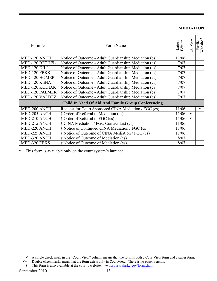#### **MEDIATION**

| Form No.              | Form Name                                                 | Latest<br>Edition | View<br>ರ    | Public<br>Website |
|-----------------------|-----------------------------------------------------------|-------------------|--------------|-------------------|
| MED-120 ANCH          | Notice of Outcome - Adult Guardianship Mediation (cs)     | 11/06             |              |                   |
| MED-120 BETHEL        | Notice of Outcome - Adult Guardianship Mediation (cs)     | 7/07              |              |                   |
| MED-120 DILL          | Notice of Outcome - Adult Guardianship Mediation (cs)     | 7/07              |              |                   |
| MED-120 FBKS          | Notice of Outcome - Adult Guardianship Mediation (cs)     | 7/07              |              |                   |
| MED-120 HOMER         | Notice of Outcome - Adult Guardianship Mediation (cs)     | 7/07              |              |                   |
| MED-120 KENAI         | Notice of Outcome - Adult Guardianship Mediation (cs)     | 7/07              |              |                   |
| MED-120 KODIAK        | Notice of Outcome - Adult Guardianship Mediation (cs)     | 7/07              |              |                   |
| <b>MED-120 PALMER</b> | Notice of Outcome - Adult Guardianship Mediation (cs)     | 7/07              |              |                   |
| MED-120 VALDEZ        | Notice of Outcome - Adult Guardianship Mediation (cs)     | 7/07              |              |                   |
|                       | <b>Child In Need Of Aid And Family Group Conferencing</b> |                   |              |                   |
| MED-200 ANCH          | Request for Court Sponsored CINA Mediation / FGC (cs)     | 11/06             |              | ٠                 |
| MED-205 ANCH          | † Order of Referral to Mediation (cs)                     | 11/06             | $\checkmark$ |                   |
| MED-210 ANCH          | † Order of Referral to FGC (cs)                           | 11/06             | ✓            |                   |
| MED-215 ANCH          | † CINA Mediation / FGC Contact List (cs)                  | 11/06             |              |                   |
| MED-220 ANCH          | † Notice of Continued CINA Mediation / FGC (cs)           | 11/06             |              |                   |
| MED-225 ANCH          | † Notice of Outcome of CINA Mediation / FGC (cs)          | 11/06             |              |                   |
| MED-320 ANCH          | † Notice of Outcome of Mediation (cs)                     | 8/07              |              |                   |
| MED-320 FBKS          | † Notice of Outcome of Mediation (cs)                     | 8/07              |              |                   |

† This form is available only on the court system's intranet.

 $\checkmark$  A single check mark in the "Court View" column means that the form is both a CourtView form and a paper form.

 $\checkmark$  Double check marks mean that the form exists only in CourtView. There is no paper version.

<sup>♦</sup> This form is also available at the court's website: www.courts.alaska.gov/forms.htm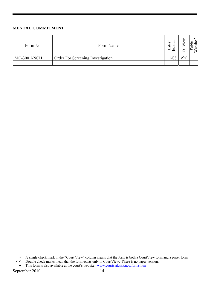#### **MENTAL COMMITMENT**

| Form No     | Form Name                         | atest<br>-<br>┯<br>T<br>– | ω | c |
|-------------|-----------------------------------|---------------------------|---|---|
| MC-300 ANCH | Order For Screening Investigation |                           |   |   |
|             |                                   |                           |   |   |

 $\checkmark$  A single check mark in the "Court View" column means that the form is both a CourtView form and a paper form.

 $\checkmark\checkmark$  Double check marks mean that the form exists only in CourtView. There is no paper version.

<sup>♦</sup> This form is also available at the court's website: www.courts.alaska.gov/forms.htm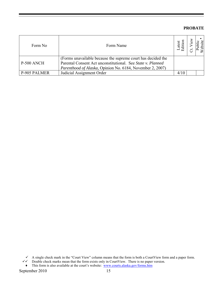#### **PROBATE**

| Form No             | Form Name                                                                                                                                                                                | atest<br>diti |  |
|---------------------|------------------------------------------------------------------------------------------------------------------------------------------------------------------------------------------|---------------|--|
| P-500 ANCH          | (Forms unavailable because the supreme court has decided the<br>Parental Consent Act unconstitutional. See State v. Planned<br>Parenthood of Alaska, Opinion No. 6184, November 2, 2007) |               |  |
| <b>P-905 PALMER</b> | Judicial Assignment Order                                                                                                                                                                | 4/10          |  |

 $\checkmark$  A single check mark in the "Court View" column means that the form is both a CourtView form and a paper form.

 $\checkmark\checkmark$  Double check marks mean that the form exists only in CourtView. There is no paper version.

♦ This form is also available at the court's website: www.courts.alaska.gov/forms.htm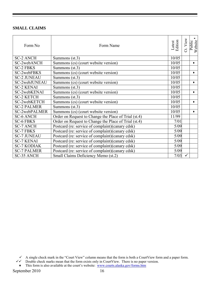#### **SMALL CLAIMS**

| Form No            | Form Name                                            | Latest<br>Edition | View<br>ಕ | Public<br>Website |
|--------------------|------------------------------------------------------|-------------------|-----------|-------------------|
| <b>SC-2 ANCH</b>   | Summons $(st.3)$                                     | 10/05             |           |                   |
| SC-2webANCH        | Summons (cs) (court website version)                 | 10/05             |           | $\bullet$         |
| <b>SC-2 FBKS</b>   | Summons $(st.3)$                                     | 10/05             |           |                   |
| SC-2webFBKS        | Summons (cs) (court website version)                 | 10/05             |           | ۰                 |
| <b>SC-2 JUNEAU</b> | Summons $(st.3)$                                     | 10/05             |           |                   |
| SC-2webJUNEAU      | Summons (cs) (court website version)                 | 10/05             |           | ٠                 |
| <b>SC-2 KENAI</b>  | Summons (st.3)                                       | 10/05             |           |                   |
| SC-2webKENAI       | Summons (cs) (court website version)                 | 10/05             |           | $\bullet$         |
| <b>SC-2 KETCH</b>  | Summons $(st.3)$                                     | 10/05             |           |                   |
| SC-2webKETCH       | Summons (cs) (court website version)                 | 10/05             |           | ٠                 |
| <b>SC-2 PALMER</b> | Summons $(st.3)$                                     | 10/05             |           |                   |
| SC-2webPALMER      | Summons (cs) (court website version)                 | 10/05             |           | ٠                 |
| <b>SC-6 ANCH</b>   | Order on Request to Change the Place of Trial (st.4) | 11/99             |           |                   |
| <b>SC-6 FBKS</b>   | Order on Request to Change the Place of Trial (st.4) | 7/01              |           |                   |
| <b>SC-7 ANCH</b>   | Postcard (re: service of complaint)(canary cdsk)     | 5/09              |           |                   |
| <b>SC-7 FBKS</b>   | Postcard (re: service of complaint)(canary cdsk)     | 5/09              |           |                   |
| <b>SC-7 JUNEAU</b> | Postcard (re: service of complaint) (canary cdsk)    | 5/09              |           |                   |
| <b>SC-7 KENAI</b>  | Postcard (re: service of complaint)(canary cdsk)     | 5/09              |           |                   |
| <b>SC-7 KODIAK</b> | Postcard (re: service of complaint)(canary cdsk)     | 5/09              |           |                   |
| <b>SC-7 PALMER</b> | Postcard (re: service of complaint) (canary cdsk)    | 5/09              |           |                   |
| <b>SC-35 ANCH</b>  | Small Claims Deficiency Memo (st.2)                  | 7/03              | ✓         |                   |

 $\checkmark$  A single check mark in the "Court View" column means that the form is both a CourtView form and a paper form.

 $\checkmark\checkmark$  Double check marks mean that the form exists only in CourtView. There is no paper version.

<sup>♦</sup> This form is also available at the court's website: www.courts.alaska.gov/forms.htm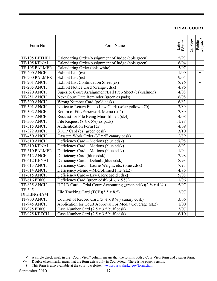## **TRIAL COURT**

| Form No           | Form Name                                                                           | Latest<br>Edition | Ct. View | $\blacklozenge$<br>Website<br>Public |
|-------------------|-------------------------------------------------------------------------------------|-------------------|----------|--------------------------------------|
| TF-105 BETHEL     | Calendaring Order/Assignment of Judge (cbls green)                                  | 5/93              |          |                                      |
| TF-105 KENAI      | Calendaring Order/Assignment of Judge (cbls green)                                  | 6/04              |          |                                      |
| TF-105 PALMER     | Calendaring Order (cbls white)                                                      | 5/97              |          |                                      |
| TF-200 ANCH       | Exhibit List (cs)                                                                   | 1/00              |          | $\bullet$                            |
| TF-200 PALMER     | Exhibit List (cs)                                                                   | 9/05              |          |                                      |
| TF-201 ANCH       | Exhibit List Continuation Sheet (cs)                                                | 8/96              |          | $\bullet$                            |
| TF-205 ANCH       | Exhibit Notice Card (orange cdsk)                                                   | 4/96              |          |                                      |
| TF-220 ANCH       | Superior Court Arraignment/Bail Prep Sheet (cs)(salmon)                             | 4/08              |          |                                      |
| TF-251 ANCH       | Next Court Date Reminder (green cs pads)                                            | 6/08              |          |                                      |
| TF-300 ANCH       | Wrong Number Card (gold cdsk)                                                       | 6/83              |          |                                      |
| TF-301 ANCH       | Notice to Return File to Law Clerk (solar yellow #70)                               | 3/89              |          |                                      |
| TF-302 ANCH       | Return of File/Paperwork Memo (st.2)                                                | 7/89              |          |                                      |
| TF-303 ANCH       | Request for File Being Microfilmed (st.4)                                           | 4/08              |          |                                      |
| TF-305 ANCH       | File Request $(8\frac{1}{2} \times 5\frac{1}{2})(cs \text{ pads})$                  | 11/98             |          |                                      |
| TF-315 ANCH       | Authentication Form (cs)                                                            | 4/09              |          |                                      |
| TF-322 ANCH       | STOP Card (cs)(green cdsk)                                                          | 3/10              |          |                                      |
| TF-450 ANCH       | Cassette Work Order (3" x 5" canary cdsk)                                           | 2/89              |          |                                      |
| TF-610 ANCH       | Deficiency Card – Motions (blue cdsk)                                               | 7/98              |          |                                      |
| TF-610 KENAI      | Deficiency Card - Motions (blue cdsk)                                               | 8/93              |          |                                      |
| TF-610 PALMER     | Deficiency Card – Motions (blue cdsk)                                               | 1/94              |          |                                      |
| TF-612 ANCH       | Deficiency Card (blue cdsk)                                                         | 7/98              |          |                                      |
| TF-612 KENAI      | Deficiency Card - Default (blue cdsk)                                               | 8/93              |          |                                      |
| TF-613 ANCH       | Deficiency Card - Laurie Wright, etc. (blue cdsk)                                   | 7/93              |          |                                      |
| TF-614 ANCH       | Deficiency Memo - Microfilmed File (st.2)                                           | 4/96              |          |                                      |
| TF-615 ANCH       | Deficiency Card - Law Clerk (gold cdsk)                                             | 9/08              |          |                                      |
| TF-616 FBKS       | Deficiency Card (green cdsk) $(4 \frac{1}{2} \times 5 \frac{1}{2})$                 | $1/06$            |          |                                      |
| TF-635 ANCH       | HOLD Card – Trial Court Accounting (green cdsk)( $2\frac{3}{4}$ x 4 $\frac{1}{4}$ ) | 5/97              |          |                                      |
| TF-645            |                                                                                     | 3/07              |          |                                      |
| <b>DILLINGHAM</b> | File Tracking Card $(TCB)(5.5 \times 8.5)$                                          |                   |          |                                      |
| TF-900 ANCH       | Counsel of Record Card $(5\frac{1}{2} \times 8\frac{1}{2})$ (canary cdsk)           | 3/06              |          |                                      |
| TF-945 ANCH       | Application for Court Approval For Media Coverage (st.2)                            | $1/00$            |          |                                      |
| TF-975 FBKS       | Case Number Card (2.5 x 3.5 buff cdsk)                                              | 3/07              |          |                                      |
| TF-975 KETCH      | Case Number Card (2.5 x 3.5 buff cdsk)                                              | 6/10              |          |                                      |

- $\checkmark\checkmark$  Double check marks mean that the form exists only in CourtView. There is no paper version.
	- ♦ This form is also available at the court's website: www.courts.alaska.gov/forms.htm

 $\checkmark$  A single check mark in the "Court View" column means that the form is both a CourtView form and a paper form.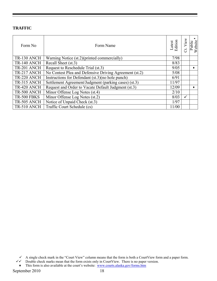# **TRAFFIC**

| Form No            | Form Name                                              | Latest<br>Edition | View<br>ರ    | Website<br><b>Public</b> |
|--------------------|--------------------------------------------------------|-------------------|--------------|--------------------------|
| TR-130 ANCH        | Warning Notice (st.2)(printed commercially)            | 7/98              |              |                          |
| TR-140 ANCH        | Recall Sheet (st.3)                                    | 8/83              |              |                          |
| TR-201 ANCH        | Request to Reschedule Trial (st.3)                     | 9/05              |              |                          |
| TR-217 ANCH        | No Contest Plea and Defensive Driving Agreement (st.2) | 5/08              |              |                          |
| TR-220 ANCH        | Instructions for Defendant (st.3) (no hole punch)      | 6/91              |              |                          |
| TR-315 ANCH        | Settlement Agreement/Judgment (parking cases) (st.3)   | 11/97             |              |                          |
| TR-420 ANCH        | Request and Order to Vacate Default Judgment (st.3)    | 12/09             |              |                          |
| <b>TR-500 ANCH</b> | Minor Offense Log Notes (st.4)                         | 2/10              |              |                          |
| <b>TR-500 FBKS</b> | Minor Offense Log Notes (st.2)                         | 8/03              | $\checkmark$ |                          |
| TR-505 ANCH        | Notice of Unpaid Check (st.3)                          | 1/97              |              |                          |
| <b>TR-510 ANCH</b> | Traffic Court Schedule (cs)                            | 11/00             |              |                          |

 $\checkmark$  A single check mark in the "Court View" column means that the form is both a CourtView form and a paper form.

 $\checkmark\checkmark$  Double check marks mean that the form exists only in CourtView. There is no paper version.

<sup>♦</sup> This form is also available at the court's website: www.courts.alaska.gov/forms.htm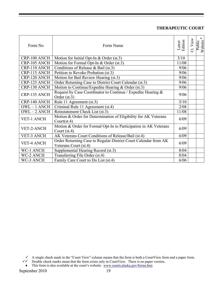# **THERAPEUTIC COURT**

| Form No           | Form Name                                                                                | Latest<br>Edition | View<br>ö | Public<br>Website |
|-------------------|------------------------------------------------------------------------------------------|-------------------|-----------|-------------------|
| CRP-100 ANCH      | Motion for Initial Opt-In $& Order (st.3)$                                               | 3/10              |           |                   |
| CRP-105 ANCH      | Motion for Formal Opt-In & Order (st.3)                                                  | 11/08             |           |                   |
| CRP-110 ANCH      | Conditions of Release & Bail (st.3)                                                      | 9/06              |           |                   |
| CRP-115 ANCH      | Petition to Revoke Probation (st.3)                                                      | 9/06              |           |                   |
| CRP-120 ANCH      | Motion for Bail Review Hearing (st.3)                                                    | 9/06              |           |                   |
| CRP-125 ANCH      | Order Returning Case to District Court Calendar (st.3)                                   | 9/06              |           |                   |
| CRP-130 ANCH      | Motion to Continue/Expedite Hearing & Order (st.3)                                       | 9/06              |           |                   |
| CRP-135 ANCH      | Request by Case Coordinator to Continue / Expedite Hearing &<br>Order (st.3)             | 9/06              |           |                   |
| CRP-140 ANCH      | Rule 11 Agreement (st.3)                                                                 | 5/10              |           |                   |
| $OWL - 1$ ANCH    | Criminal Rule 11 Agreement (st.4)                                                        | 2/08              |           |                   |
| $OWL - 2 ANCH$    | Reinstatement Check List (st.3)                                                          | 11/08             |           |                   |
| <b>VET-1 ANCH</b> | Motion & Order for Determination of Eligibility for AK Veterans<br>Court(st.4)           | 6/09              |           |                   |
| VET-2-ANCH        | Motion & Order for Formal Opt-In to Participation in AK Veterans<br>Court $(st.4)$       | 6/09              |           |                   |
| <b>VET-3 ANCH</b> | AK Veterans Court Conditions of Release/Bail (st.4)                                      | 6/09              |           |                   |
| <b>VET-4 ANCH</b> | Order Returning Case to Regular District Court Calendar from AK<br>Veterans Court (st.4) | 6/09              |           |                   |
| WC-1 ANCH         | Supplemental Hearing Record (st.3)                                                       | 8/04              |           |                   |
| WC-2 ANCH         | Transferring File Order (st.4)                                                           | 8/04              |           |                   |
| WC-3 ANCH         | Family Care Court to Do List (st.4)                                                      | 6/06              |           |                   |

♦ This form is also available at the court's website: www.courts.alaska.gov/forms.htm

 $\checkmark$  A single check mark in the "Court View" column means that the form is both a CourtView form and a paper form.

 $\checkmark\checkmark$  Double check marks mean that the form exists only in CourtView. There is no paper version.